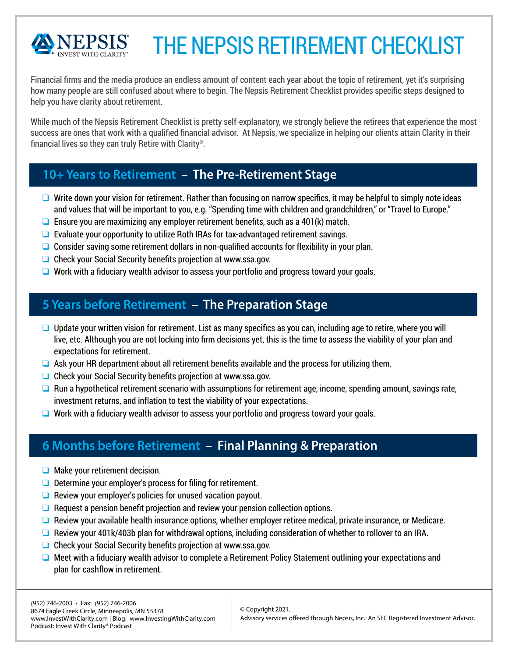

# THE NEPSIS<sup>®</sup> RETIREMENT CHECKLIST

Financial firms and the media produce an endless amount of content each year about the topic of retirement, yet it's surprising how many people are still confused about where to begin. The Nepsis® Retirement Checklist provides specific steps designed to help you have clarity about retirement.

fi While much of the Nepsis® Retirement Checklist is pretty self-explanatory, we strongly believe the retirees that experience the most success are ones that work with a fiqualified nancial advisor. At Nepsis, we specialize in helping our clients attain Clarity in their fin ancial lives so they can truly Retire with Clarity<sup>®</sup>.

### **10+ Years to Retirement – The Pre-Retirement Stage**

- $\Box$  Write down your vision for retirement. Rather than focusing on narrow specifics, it may be helpful to simply note ideas and values that will be important to you, e.g. "Spending time with children and grandchildren," or "Travel to Europe."
- $\Box$  Ensure you are maximizing any employer retirement benefits, such as a 401(k) match.
- $\Box$  Evaluate your opportunity to utilize Roth IRAs for tax-advantaged retirement savings.
- $\Box$  Consider saving some retirement dollars in non-qualified accounts for flexibility in your plan.
- $\Box$  Check your Social Security benefits projection at www.ssa.gov.
- $\Box$  Work with a fiduciary wealth advisor to assess your portfolio and progress toward your goals.

### **5 Years before Retirement – The Preparation Stage**

- $\Box$  Update your written vision for retirement. List as many specifics as you can, including age to retire, where you will live, etc. Although you are not locking into firm decisions yet, this is the time to assess the viability of your plan and expectations for retirement.
- $\Box$  Ask your HR department about all retirement benefits available and the process for utilizing them.
- $\Box$  Check your Social Security benefits projection at www.ssa.gov.
- $\Box$  Run a hypothetical retirement scenario with assumptions for retirement age, income, spending amount, savings rate, investment returns, and inflation to test the viability of your expectations.
- $\Box$  Work with a fiduciary wealth advisor to assess your portfolio and progress toward your goals.

# **6 Months before Retirement – Final Planning & Preparation**

- $\Box$  Make your retirement decision.
- $\Box$  Determine your employer's process for filing for retirement.
- $\Box$  Review your employer's policies for unused vacation payout.
- $\Box$  Request a pension benefit projection and review your pension collection options.
- $\Box$  Review your available health insurance options, whether employer retiree medical, private insurance, or Medicare.
- $\Box$  Review your 401k/403b plan for withdrawal options, including consideration of whether to rollover to an IRA.
- $\Box$  Check your Social Security benefits projection at www.ssa.gov.
- $\Box$  Meet with a fiduciary wealth advisor to complete a Retirement Policy Statement outlining your expectations and plan for cashflow in retirement.